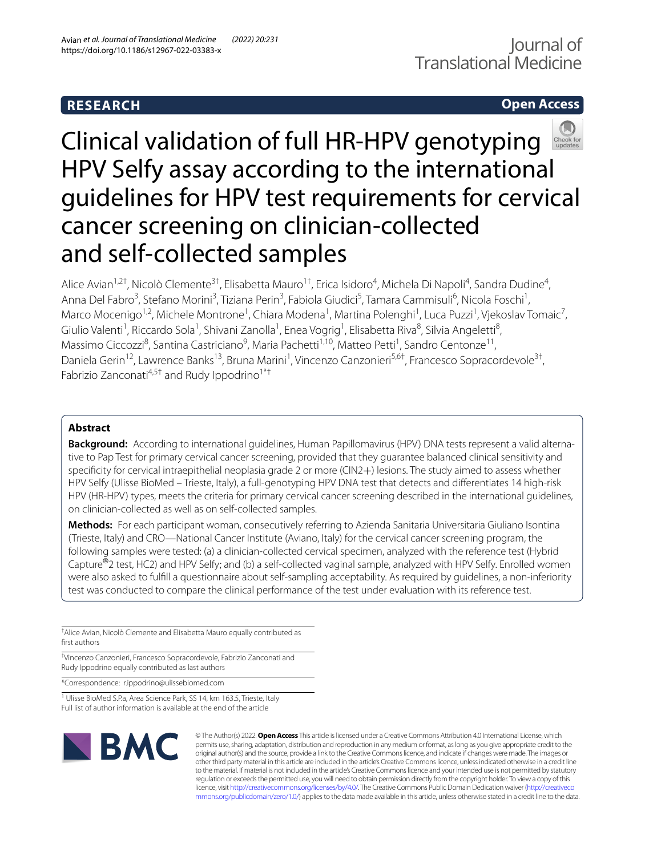# **RESEARCH**

# **Open Access**



# Clinical validation of full HR-HPV genotyping HPV Selfy assay according to the international guidelines for HPV test requirements for cervical cancer screening on clinician-collected and self-collected samples

Alice Avian<sup>1,2†</sup>, Nicolò Clemente<sup>3†</sup>, Elisabetta Mauro<sup>1†</sup>, Erica Isidoro<sup>4</sup>, Michela Di Napoli<sup>4</sup>, Sandra Dudine<sup>4</sup>, Anna Del Fabro<sup>3</sup>, Stefano Morini<sup>3</sup>, Tiziana Perin<sup>3</sup>, Fabiola Giudici<sup>5</sup>, Tamara Cammisuli<sup>6</sup>, Nicola Foschi<sup>1</sup>, Marco Mocenigo<sup>1,2</sup>, Michele Montrone<sup>1</sup>, Chiara Modena<sup>1</sup>, Martina Polenghi<sup>1</sup>, Luca Puzzi<sup>1</sup>, Vjekoslav Tomaic<sup>7</sup>, Giulio Valenti<sup>1</sup>, Riccardo Sola<sup>1</sup>, Shivani Zanolla<sup>1</sup>, Enea Vogrig<sup>1</sup>, Elisabetta Riva<sup>8</sup>, Silvia Angeletti<sup>8</sup>, Massimo Ciccozzi<sup>8</sup>, Santina Castriciano<sup>9</sup>, Maria Pachetti<sup>1,10</sup>, Matteo Petti<sup>1</sup>, Sandro Centonze<sup>11</sup>, Daniela Gerin<sup>12</sup>, Lawrence Banks<sup>13</sup>, Bruna Marini<sup>1</sup>, Vincenzo Canzonieri<sup>5,6†</sup>, Francesco Sopracordevole<sup>3†</sup>, Fabrizio Zanconati<sup>4,5†</sup> and Rudy Ippodrino<sup>1\*†</sup>

## **Abstract**

**Background:** According to international guidelines, Human Papillomavirus (HPV) DNA tests represent a valid alternative to Pap Test for primary cervical cancer screening, provided that they guarantee balanced clinical sensitivity and specifcity for cervical intraepithelial neoplasia grade 2 or more (CIN2+) lesions. The study aimed to assess whether HPV Selfy (Ulisse BioMed – Trieste, Italy), a full-genotyping HPV DNA test that detects and diferentiates 14 high-risk HPV (HR-HPV) types, meets the criteria for primary cervical cancer screening described in the international guidelines, on clinician-collected as well as on self-collected samples.

**Methods:** For each participant woman, consecutively referring to Azienda Sanitaria Universitaria Giuliano Isontina (Trieste, Italy) and CRO—National Cancer Institute (Aviano, Italy) for the cervical cancer screening program, the following samples were tested: (a) a clinician-collected cervical specimen, analyzed with the reference test (Hybrid Capture®2 test, HC2) and HPV Selfy; and (b) a self-collected vaginal sample, analyzed with HPV Selfy. Enrolled women were also asked to fulfll a questionnaire about self-sampling acceptability. As required by guidelines, a non-inferiority test was conducted to compare the clinical performance of the test under evaluation with its reference test.

† Alice Avian, Nicolò Clemente and Elisabetta Mauro equally contributed as frst authors

† Vincenzo Canzonieri, Francesco Sopracordevole, Fabrizio Zanconati and Rudy Ippodrino equally contributed as last authors

\*Correspondence: r.ippodrino@ulissebiomed.com

<sup>1</sup> Ulisse BioMed S.P.a, Area Science Park, SS 14, km 163.5, Trieste, Italy Full list of author information is available at the end of the article



© The Author(s) 2022. **Open Access** This article is licensed under a Creative Commons Attribution 4.0 International License, which permits use, sharing, adaptation, distribution and reproduction in any medium or format, as long as you give appropriate credit to the original author(s) and the source, provide a link to the Creative Commons licence, and indicate if changes were made. The images or other third party material in this article are included in the article's Creative Commons licence, unless indicated otherwise in a credit line to the material. If material is not included in the article's Creative Commons licence and your intended use is not permitted by statutory regulation or exceeds the permitted use, you will need to obtain permission directly from the copyright holder. To view a copy of this licence, visit [http://creativecommons.org/licenses/by/4.0/.](http://creativecommons.org/licenses/by/4.0/) The Creative Commons Public Domain Dedication waiver ([http://creativeco](http://creativecommons.org/publicdomain/zero/1.0/) [mmons.org/publicdomain/zero/1.0/](http://creativecommons.org/publicdomain/zero/1.0/)) applies to the data made available in this article, unless otherwise stated in a credit line to the data.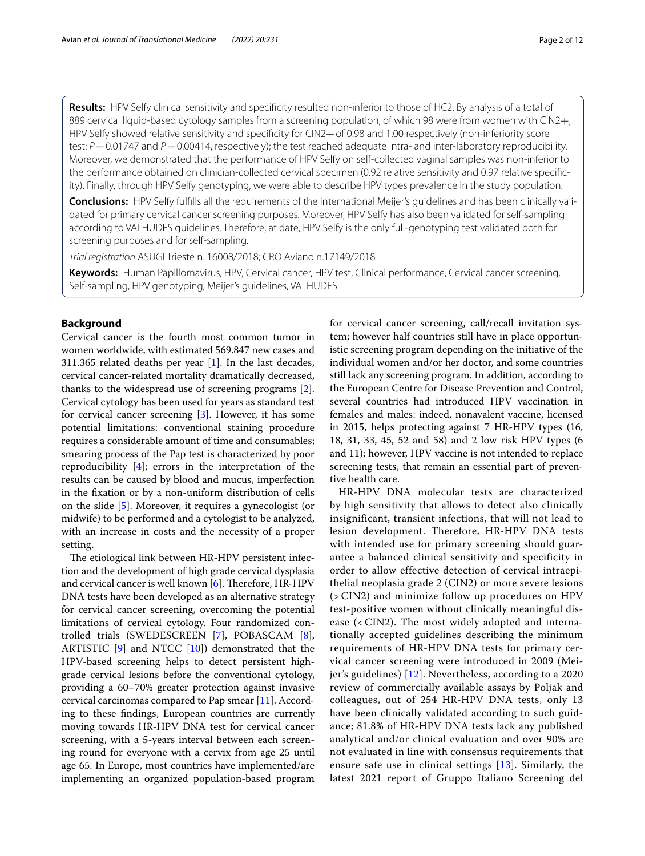**Results:** HPV Selfy clinical sensitivity and specifcity resulted non-inferior to those of HC2. By analysis of a total of 889 cervical liquid-based cytology samples from a screening population, of which 98 were from women with CIN2+, HPV Selfy showed relative sensitivity and specificity for CIN2+of 0.98 and 1.00 respectively (non-inferiority score test:  $P = 0.01747$  and  $P = 0.00414$ , respectively); the test reached adequate intra- and inter-laboratory reproducibility. Moreover, we demonstrated that the performance of HPV Selfy on self-collected vaginal samples was non-inferior to the performance obtained on clinician-collected cervical specimen (0.92 relative sensitivity and 0.97 relative specifcity). Finally, through HPV Selfy genotyping, we were able to describe HPV types prevalence in the study population.

**Conclusions:** HPV Selfy fulflls all the requirements of the international Meijer's guidelines and has been clinically validated for primary cervical cancer screening purposes. Moreover, HPV Selfy has also been validated for self-sampling according to VALHUDES guidelines. Therefore, at date, HPV Selfy is the only full-genotyping test validated both for screening purposes and for self-sampling.

*Trial registration* ASUGI Trieste n. 16008/2018; CRO Aviano n.17149/2018

**Keywords:** Human Papillomavirus, HPV, Cervical cancer, HPV test, Clinical performance, Cervical cancer screening, Self-sampling, HPV genotyping, Meijer's guidelines, VALHUDES

## **Background**

Cervical cancer is the fourth most common tumor in women worldwide, with estimated 569.847 new cases and 311.365 related deaths per year [\[1\]](#page-10-0). In the last decades, cervical cancer-related mortality dramatically decreased, thanks to the widespread use of screening programs [\[2](#page-10-1)]. Cervical cytology has been used for years as standard test for cervical cancer screening [\[3\]](#page-10-2). However, it has some potential limitations: conventional staining procedure requires a considerable amount of time and consumables; smearing process of the Pap test is characterized by poor reproducibility [[4\]](#page-10-3); errors in the interpretation of the results can be caused by blood and mucus, imperfection in the fxation or by a non-uniform distribution of cells on the slide [[5\]](#page-10-4). Moreover, it requires a gynecologist (or midwife) to be performed and a cytologist to be analyzed, with an increase in costs and the necessity of a proper setting.

The etiological link between HR-HPV persistent infection and the development of high grade cervical dysplasia and cervical cancer is well known  $[6]$ . Therefore, HR-HPV DNA tests have been developed as an alternative strategy for cervical cancer screening, overcoming the potential limitations of cervical cytology. Four randomized controlled trials (SWEDESCREEN [[7](#page-10-6)], POBASCAM [\[8](#page-10-7)], ARTISTIC [\[9](#page-10-8)] and NTCC [\[10](#page-10-9)]) demonstrated that the HPV-based screening helps to detect persistent highgrade cervical lesions before the conventional cytology, providing a 60–70% greater protection against invasive cervical carcinomas compared to Pap smear [[11\]](#page-10-10). According to these fndings, European countries are currently moving towards HR-HPV DNA test for cervical cancer screening, with a 5-years interval between each screening round for everyone with a cervix from age 25 until age 65. In Europe, most countries have implemented/are implementing an organized population-based program for cervical cancer screening, call/recall invitation system; however half countries still have in place opportunistic screening program depending on the initiative of the individual women and/or her doctor, and some countries still lack any screening program. In addition, according to the European Centre for Disease Prevention and Control, several countries had introduced HPV vaccination in females and males: indeed, nonavalent vaccine, licensed in 2015, helps protecting against 7 HR-HPV types (16, 18, 31, 33, 45, 52 and 58) and 2 low risk HPV types (6 and 11); however, HPV vaccine is not intended to replace screening tests, that remain an essential part of preventive health care.

HR-HPV DNA molecular tests are characterized by high sensitivity that allows to detect also clinically insignificant, transient infections, that will not lead to lesion development. Therefore, HR-HPV DNA tests with intended use for primary screening should guarantee a balanced clinical sensitivity and specificity in order to allow effective detection of cervical intraepithelial neoplasia grade 2 (CIN2) or more severe lesions (>CIN2) and minimize follow up procedures on HPV test-positive women without clinically meaningful disease (<CIN2). The most widely adopted and internationally accepted guidelines describing the minimum requirements of HR-HPV DNA tests for primary cervical cancer screening were introduced in 2009 (Meijer's guidelines) [[12](#page-10-11)]. Nevertheless, according to a 2020 review of commercially available assays by Poljak and colleagues, out of 254 HR-HPV DNA tests, only 13 have been clinically validated according to such guidance; 81.8% of HR-HPV DNA tests lack any published analytical and/or clinical evaluation and over 90% are not evaluated in line with consensus requirements that ensure safe use in clinical settings [[13\]](#page-10-12). Similarly, the latest 2021 report of Gruppo Italiano Screening del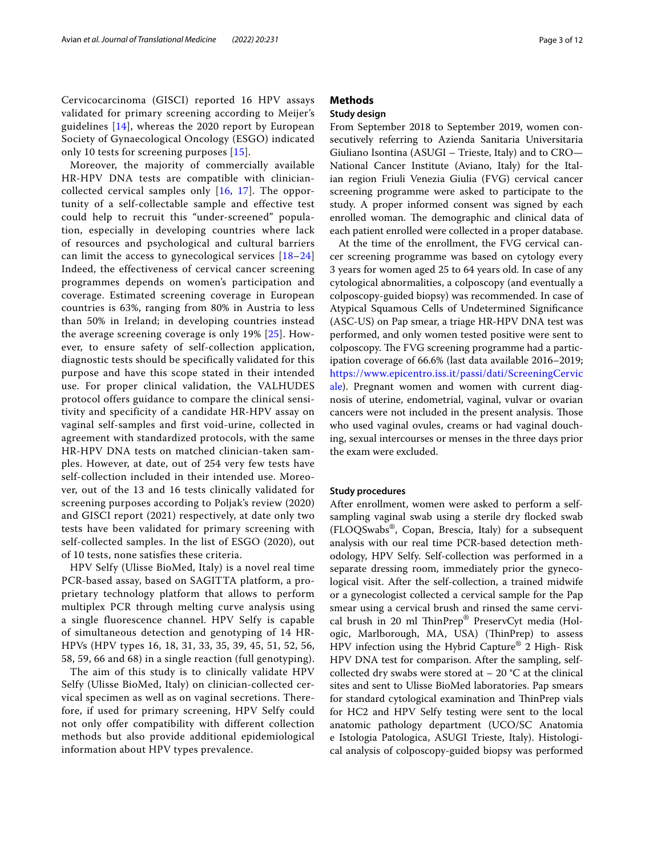Cervicocarcinoma (GISCI) reported 16 HPV assays validated for primary screening according to Meijer's guidelines [[14](#page-10-13)], whereas the 2020 report by European Society of Gynaecological Oncology (ESGO) indicated only 10 tests for screening purposes [[15\]](#page-10-14).

Moreover, the majority of commercially available HR-HPV DNA tests are compatible with cliniciancollected cervical samples only [\[16,](#page-10-15) [17\]](#page-10-16). The opportunity of a self-collectable sample and effective test could help to recruit this "under-screened" population, especially in developing countries where lack of resources and psychological and cultural barriers can limit the access to gynecological services [[18](#page-10-17)–[24](#page-10-18)] Indeed, the effectiveness of cervical cancer screening programmes depends on women's participation and coverage. Estimated screening coverage in European countries is 63%, ranging from 80% in Austria to less than 50% in Ireland; in developing countries instead the average screening coverage is only 19% [[25\]](#page-10-19). However, to ensure safety of self-collection application, diagnostic tests should be specifically validated for this purpose and have this scope stated in their intended use. For proper clinical validation, the VALHUDES protocol offers guidance to compare the clinical sensitivity and specificity of a candidate HR-HPV assay on vaginal self-samples and first void-urine, collected in agreement with standardized protocols, with the same HR-HPV DNA tests on matched clinician-taken samples. However, at date, out of 254 very few tests have self-collection included in their intended use. Moreover, out of the 13 and 16 tests clinically validated for screening purposes according to Poljak's review (2020) and GISCI report (2021) respectively, at date only two tests have been validated for primary screening with self-collected samples. In the list of ESGO (2020), out of 10 tests, none satisfies these criteria.

HPV Selfy (Ulisse BioMed, Italy) is a novel real time PCR-based assay, based on SAGITTA platform, a proprietary technology platform that allows to perform multiplex PCR through melting curve analysis using a single fluorescence channel. HPV Selfy is capable of simultaneous detection and genotyping of 14 HR-HPVs (HPV types 16, 18, 31, 33, 35, 39, 45, 51, 52, 56, 58, 59, 66 and 68) in a single reaction (full genotyping).

The aim of this study is to clinically validate HPV Selfy (Ulisse BioMed, Italy) on clinician-collected cervical specimen as well as on vaginal secretions. Therefore, if used for primary screening, HPV Selfy could not only offer compatibility with different collection methods but also provide additional epidemiological information about HPV types prevalence.

## **Methods**

## **Study design**

From September 2018 to September 2019, women consecutively referring to Azienda Sanitaria Universitaria Giuliano Isontina (ASUGI – Trieste, Italy) and to CRO— National Cancer Institute (Aviano, Italy) for the Italian region Friuli Venezia Giulia (FVG) cervical cancer screening programme were asked to participate to the study. A proper informed consent was signed by each enrolled woman. The demographic and clinical data of each patient enrolled were collected in a proper database.

At the time of the enrollment, the FVG cervical cancer screening programme was based on cytology every 3 years for women aged 25 to 64 years old. In case of any cytological abnormalities, a colposcopy (and eventually a colposcopy-guided biopsy) was recommended. In case of Atypical Squamous Cells of Undetermined Signifcance (ASC-US) on Pap smear, a triage HR-HPV DNA test was performed, and only women tested positive were sent to colposcopy. The FVG screening programme had a participation coverage of 66.6% (last data available 2016–2019; [https://www.epicentro.iss.it/passi/dati/ScreeningCervic](https://www.epicentro.iss.it/passi/dati/ScreeningCervicale) [ale](https://www.epicentro.iss.it/passi/dati/ScreeningCervicale)). Pregnant women and women with current diagnosis of uterine, endometrial, vaginal, vulvar or ovarian cancers were not included in the present analysis. Those who used vaginal ovules, creams or had vaginal douching, sexual intercourses or menses in the three days prior the exam were excluded.

### **Study procedures**

After enrollment, women were asked to perform a selfsampling vaginal swab using a sterile dry focked swab (FLOQSwabs®, Copan, Brescia, Italy) for a subsequent analysis with our real time PCR-based detection methodology, HPV Selfy. Self-collection was performed in a separate dressing room, immediately prior the gynecological visit. After the self-collection, a trained midwife or a gynecologist collected a cervical sample for the Pap smear using a cervical brush and rinsed the same cervical brush in 20 ml TinPrep® PreservCyt media (Hologic, Marlborough, MA, USA) (ThinPrep) to assess HPV infection using the Hybrid Capture® 2 High- Risk HPV DNA test for comparison. After the sampling, selfcollected dry swabs were stored at  $-20$  °C at the clinical sites and sent to Ulisse BioMed laboratories. Pap smears for standard cytological examination and ThinPrep vials for HC2 and HPV Selfy testing were sent to the local anatomic pathology department (UCO/SC Anatomia e Istologia Patologica, ASUGI Trieste, Italy). Histological analysis of colposcopy-guided biopsy was performed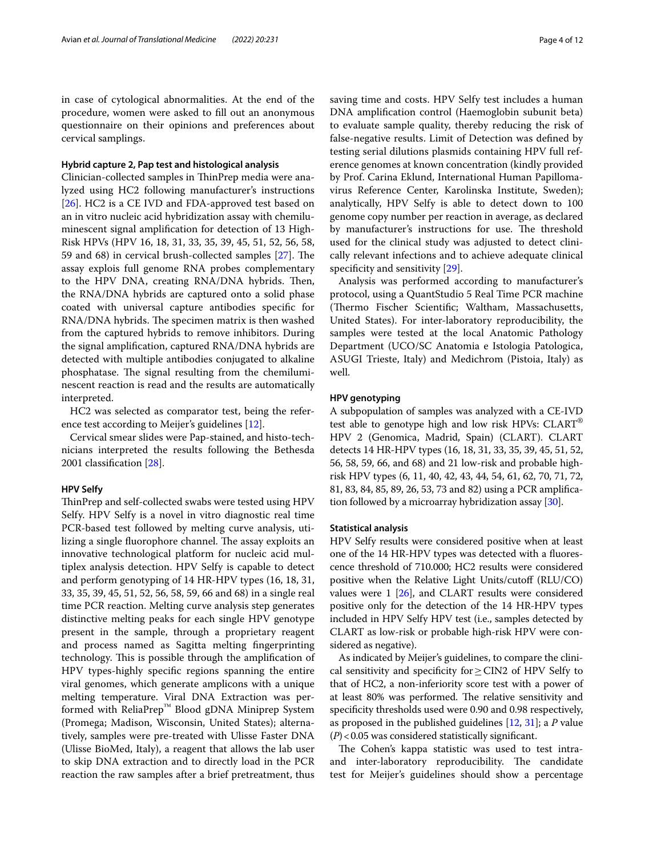in case of cytological abnormalities. At the end of the procedure, women were asked to fll out an anonymous questionnaire on their opinions and preferences about cervical samplings.

### **Hybrid capture 2, Pap test and histological analysis**

Clinician-collected samples in ThinPrep media were analyzed using HC2 following manufacturer's instructions [[26\]](#page-10-20). HC2 is a CE IVD and FDA-approved test based on an in vitro nucleic acid hybridization assay with chemiluminescent signal amplifcation for detection of 13 High-Risk HPVs (HPV 16, 18, 31, 33, 35, 39, 45, 51, 52, 56, 58, 59 and 68) in cervical brush-collected samples  $[27]$  $[27]$ . The assay explois full genome RNA probes complementary to the HPV DNA, creating RNA/DNA hybrids. Then, the RNA/DNA hybrids are captured onto a solid phase coated with universal capture antibodies specifc for RNA/DNA hybrids. The specimen matrix is then washed from the captured hybrids to remove inhibitors. During the signal amplifcation, captured RNA/DNA hybrids are detected with multiple antibodies conjugated to alkaline phosphatase. The signal resulting from the chemiluminescent reaction is read and the results are automatically interpreted.

HC2 was selected as comparator test, being the reference test according to Meijer's guidelines [\[12](#page-10-11)].

Cervical smear slides were Pap-stained, and histo-technicians interpreted the results following the Bethesda 2001 classifcation [[28\]](#page-10-22).

### **HPV Selfy**

ThinPrep and self-collected swabs were tested using HPV Selfy. HPV Selfy is a novel in vitro diagnostic real time PCR-based test followed by melting curve analysis, utilizing a single fluorophore channel. The assay exploits an innovative technological platform for nucleic acid multiplex analysis detection. HPV Selfy is capable to detect and perform genotyping of 14 HR-HPV types (16, 18, 31, 33, 35, 39, 45, 51, 52, 56, 58, 59, 66 and 68) in a single real time PCR reaction. Melting curve analysis step generates distinctive melting peaks for each single HPV genotype present in the sample, through a proprietary reagent and process named as Sagitta melting fngerprinting technology. This is possible through the amplification of HPV types-highly specifc regions spanning the entire viral genomes, which generate amplicons with a unique melting temperature. Viral DNA Extraction was performed with ReliaPrep™ Blood gDNA Miniprep System (Promega; Madison, Wisconsin, United States); alternatively, samples were pre-treated with Ulisse Faster DNA (Ulisse BioMed, Italy), a reagent that allows the lab user to skip DNA extraction and to directly load in the PCR reaction the raw samples after a brief pretreatment, thus saving time and costs. HPV Selfy test includes a human DNA amplifcation control (Haemoglobin subunit beta) to evaluate sample quality, thereby reducing the risk of false-negative results. Limit of Detection was defned by testing serial dilutions plasmids containing HPV full reference genomes at known concentration (kindly provided by Prof. Carina Eklund, International Human Papillomavirus Reference Center, Karolinska Institute, Sweden); analytically, HPV Selfy is able to detect down to 100 genome copy number per reaction in average, as declared by manufacturer's instructions for use. The threshold used for the clinical study was adjusted to detect clinically relevant infections and to achieve adequate clinical specificity and sensitivity [\[29](#page-10-23)].

Analysis was performed according to manufacturer's protocol, using a QuantStudio 5 Real Time PCR machine (Thermo Fischer Scientific; Waltham, Massachusetts, United States). For inter-laboratory reproducibility, the samples were tested at the local Anatomic Pathology Department (UCO/SC Anatomia e Istologia Patologica, ASUGI Trieste, Italy) and Medichrom (Pistoia, Italy) as well.

## **HPV genotyping**

A subpopulation of samples was analyzed with a CE-IVD test able to genotype high and low risk HPVs: CLART® HPV 2 (Genomica, Madrid, Spain) (CLART). CLART detects 14 HR-HPV types (16, 18, 31, 33, 35, 39, 45, 51, 52, 56, 58, 59, 66, and 68) and 21 low-risk and probable highrisk HPV types (6, 11, 40, 42, 43, 44, 54, 61, 62, 70, 71, 72, 81, 83, 84, 85, 89, 26, 53, 73 and 82) using a PCR amplifcation followed by a microarray hybridization assay [[30](#page-10-24)].

#### **Statistical analysis**

HPV Selfy results were considered positive when at least one of the 14 HR-HPV types was detected with a fuorescence threshold of 710.000; HC2 results were considered positive when the Relative Light Units/cutoff (RLU/CO) values were 1 [\[26\]](#page-10-20), and CLART results were considered positive only for the detection of the 14 HR-HPV types included in HPV Selfy HPV test (i.e., samples detected by CLART as low-risk or probable high-risk HPV were considered as negative).

As indicated by Meijer's guidelines, to compare the clinical sensitivity and specifcity for≥CIN2 of HPV Selfy to that of HC2, a non-inferiority score test with a power of at least 80% was performed. The relative sensitivity and specifcity thresholds used were 0.90 and 0.98 respectively, as proposed in the published guidelines [\[12,](#page-10-11) [31](#page-10-25)]; a *P* value (*P*)<0.05 was considered statistically signifcant.

The Cohen's kappa statistic was used to test intraand inter-laboratory reproducibility. The candidate test for Meijer's guidelines should show a percentage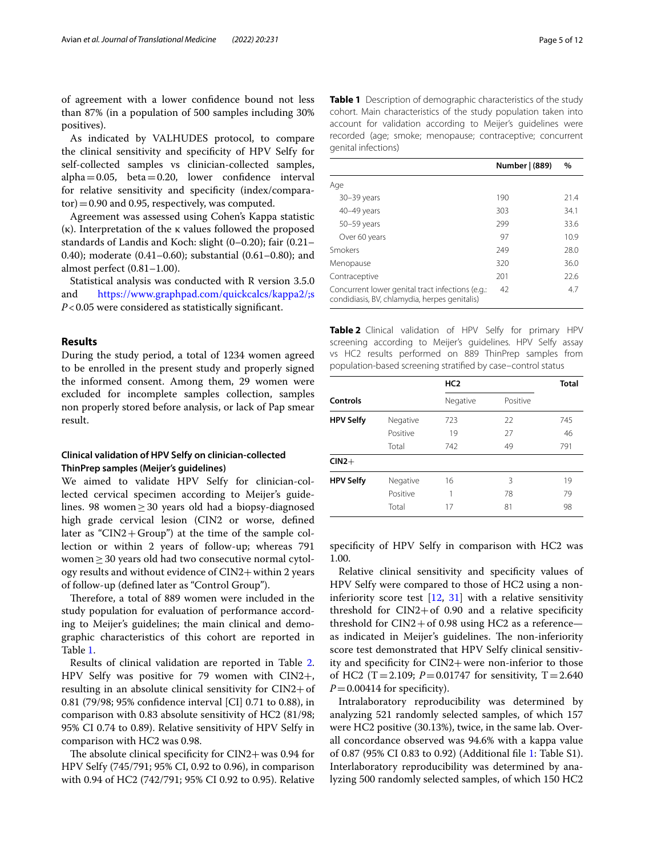of agreement with a lower confdence bound not less than 87% (in a population of 500 samples including 30% positives).

As indicated by VALHUDES protocol, to compare the clinical sensitivity and specifcity of HPV Selfy for self-collected samples vs clinician-collected samples, alpha=0.05, beta=0.20, lower confdence interval for relative sensitivity and specifcity (index/compara $tor$ ) = 0.90 and 0.95, respectively, was computed.

Agreement was assessed using Cohen's Kappa statistic (κ). Interpretation of the κ values followed the proposed standards of Landis and Koch: slight (0–0.20); fair (0.21– 0.40); moderate (0.41–0.60); substantial (0.61–0.80); and almost perfect (0.81–1.00).

Statistical analysis was conducted with R version 3.5.0 and <https://www.graphpad.com/quickcalcs/kappa2/;s> *P*<0.05 were considered as statistically signifcant.

## **Results**

During the study period, a total of 1234 women agreed to be enrolled in the present study and properly signed the informed consent. Among them, 29 women were excluded for incomplete samples collection, samples non properly stored before analysis, or lack of Pap smear result.

## **Clinical validation of HPV Selfy on clinician‑collected ThinPrep samples (Meijer's guidelines)**

We aimed to validate HPV Selfy for clinician-collected cervical specimen according to Meijer's guidelines. 98 women≥30 years old had a biopsy-diagnosed high grade cervical lesion (CIN2 or worse, defned later as " $CIN2 + Group$ ") at the time of the sample collection or within 2 years of follow-up; whereas 791 women≥30 years old had two consecutive normal cytology results and without evidence of CIN2+within 2 years of follow-up (defned later as "Control Group").

Therefore, a total of 889 women were included in the study population for evaluation of performance according to Meijer's guidelines; the main clinical and demographic characteristics of this cohort are reported in Table [1](#page-4-0).

Results of clinical validation are reported in Table [2](#page-4-1). HPV Selfy was positive for 79 women with CIN2+, resulting in an absolute clinical sensitivity for CIN2+of 0.81 (79/98; 95% confdence interval [CI] 0.71 to 0.88), in comparison with 0.83 absolute sensitivity of HC2 (81/98; 95% CI 0.74 to 0.89). Relative sensitivity of HPV Selfy in comparison with HC2 was 0.98.

The absolute clinical specificity for  $CIN2+$  was 0.94 for HPV Selfy (745/791; 95% CI, 0.92 to 0.96), in comparison with 0.94 of HC2 (742/791; 95% CI 0.92 to 0.95). Relative <span id="page-4-0"></span>**Table 1** Description of demographic characteristics of the study cohort. Main characteristics of the study population taken into account for validation according to Meijer's guidelines were recorded (age; smoke; menopause; contraceptive; concurrent genital infections)

|                                                                                                   | Number   (889) | $\%$ |
|---------------------------------------------------------------------------------------------------|----------------|------|
| Age                                                                                               |                |      |
| $30 - 39$ years                                                                                   | 190            | 21.4 |
| 40-49 years                                                                                       | 303            | 34.1 |
| 50-59 years                                                                                       | 299            | 33.6 |
| Over 60 years                                                                                     | 97             | 10.9 |
| Smokers                                                                                           | 249            | 28.0 |
| Menopause                                                                                         | 320            | 36.0 |
| Contraceptive                                                                                     | 201            | 22.6 |
| Concurrent lower genital tract infections (e.g.:<br>condidiasis, BV, chlamydia, herpes genitalis) | 42             | 4.7  |

<span id="page-4-1"></span>**Table 2** Clinical validation of HPV Selfy for primary HPV screening according to Meijer's guidelines. HPV Selfy assay vs HC2 results performed on 889 ThinPrep samples from population-based screening stratifed by case–control status

|                  |          | <b>Total</b> |          |     |
|------------------|----------|--------------|----------|-----|
| Controls         |          | Negative     | Positive |     |
| <b>HPV Selfy</b> | Negative | 723          | 22       | 745 |
|                  | Positive | 19           | 27       | 46  |
|                  | Total    | 742          | 49       | 791 |
| $CIN2+$          |          |              |          |     |
| <b>HPV Selfy</b> | Negative | 16           | 3        | 19  |
|                  | Positive |              | 78       | 79  |
|                  | Total    | 17           | 81       | 98  |

specifcity of HPV Selfy in comparison with HC2 was 1.00.

Relative clinical sensitivity and specifcity values of HPV Selfy were compared to those of HC2 using a noninferiority score test [\[12](#page-10-11), [31](#page-10-25)] with a relative sensitivity threshold for  $CIN2+$  of 0.90 and a relative specificity threshold for  $CIN2 + of 0.98$  using HC2 as a reference as indicated in Meijer's guidelines. The non-inferiority score test demonstrated that HPV Selfy clinical sensitivity and specifcity for CIN2+were non-inferior to those of HC2 (T = 2.109;  $P = 0.01747$  for sensitivity, T = 2.640  $P=0.00414$  for specificity).

Intralaboratory reproducibility was determined by analyzing 521 randomly selected samples, of which 157 were HC2 positive (30.13%), twice, in the same lab. Overall concordance observed was 94.6% with a kappa value of 0.87 (95% CI 0.83 to 0.92) (Additional fle [1](#page-9-0): Table S1). Interlaboratory reproducibility was determined by analyzing 500 randomly selected samples, of which 150 HC2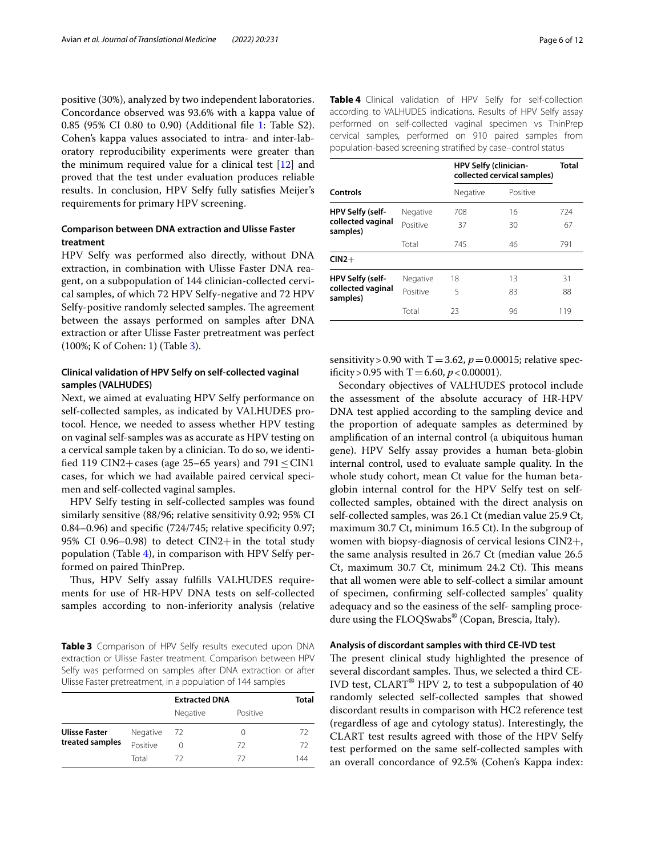positive (30%), analyzed by two independent laboratories. Concordance observed was 93.6% with a kappa value of 0.85 (95% CI 0.80 to 0.90) (Additional fle [1](#page-9-0): Table S2). Cohen's kappa values associated to intra- and inter-laboratory reproducibility experiments were greater than the minimum required value for a clinical test [[12\]](#page-10-11) and proved that the test under evaluation produces reliable results. In conclusion, HPV Selfy fully satisfes Meijer's requirements for primary HPV screening.

## **Comparison between DNA extraction and Ulisse Faster treatment**

HPV Selfy was performed also directly, without DNA extraction, in combination with Ulisse Faster DNA reagent, on a subpopulation of 144 clinician-collected cervical samples, of which 72 HPV Selfy-negative and 72 HPV Selfy-positive randomly selected samples. The agreement between the assays performed on samples after DNA extraction or after Ulisse Faster pretreatment was perfect (100%; K of Cohen: 1) (Table [3](#page-5-0)).

## **Clinical validation of HPV Selfy on self‑collected vaginal samples (VALHUDES)**

Next, we aimed at evaluating HPV Selfy performance on self-collected samples, as indicated by VALHUDES protocol. Hence, we needed to assess whether HPV testing on vaginal self-samples was as accurate as HPV testing on a cervical sample taken by a clinician. To do so, we identified 119 CIN2+cases (age 25–65 years) and  $791 \leq CIN1$ cases, for which we had available paired cervical specimen and self-collected vaginal samples.

HPV Selfy testing in self-collected samples was found similarly sensitive (88/96; relative sensitivity 0.92; 95% CI 0.84–0.96) and specifc (724/745; relative specifcity 0.97; 95% CI 0.96–0.98) to detect CIN2+in the total study population (Table [4](#page-5-1)), in comparison with HPV Selfy performed on paired ThinPrep.

Thus, HPV Selfy assay fulfills VALHUDES requirements for use of HR-HPV DNA tests on self-collected samples according to non-inferiority analysis (relative

<span id="page-5-0"></span>**Table 3** Comparison of HPV Selfy results executed upon DNA extraction or Ulisse Faster treatment. Comparison between HPV Selfy was performed on samples after DNA extraction or after Ulisse Faster pretreatment, in a population of 144 samples

|                      |          | <b>Extracted DNA</b> |                  | Total |
|----------------------|----------|----------------------|------------------|-------|
|                      |          | Negative             | Positive         |       |
| <b>Ulisse Faster</b> | Negative | 72                   | $\left( \right)$ | 72    |
| treated samples      | Positive |                      | 72               | 72    |
|                      | Total    | -72                  | 72               | 144   |

<span id="page-5-1"></span>

| Table 4 Clinical validation of HPV Selfy for self-collection  |  |  |  |
|---------------------------------------------------------------|--|--|--|
| according to VALHUDES indications. Results of HPV Selfy assay |  |  |  |
| performed on self-collected vaginal specimen vs ThinPrep      |  |  |  |
| cervical samples, performed on 910 paired samples from        |  |  |  |
| population-based screening stratified by case-control status  |  |  |  |

|                               | <b>HPV Selfy (clinician-</b><br>collected cervical samples) | Total    |          |     |
|-------------------------------|-------------------------------------------------------------|----------|----------|-----|
| Controls                      |                                                             | Negative | Positive |     |
| HPV Selfy (self-              | Negative                                                    | 708      | 16       | 724 |
| collected vaginal<br>samples) | Positive                                                    | 37       | 30       | 67  |
|                               | Total                                                       | 745      | 46       | 791 |
| $CIN2+$                       |                                                             |          |          |     |
| HPV Selfy (self-              | Negative                                                    | 18       | 13       | 31  |
| collected vaginal<br>samples) | Positive                                                    | 5        | 83       | 88  |
|                               | Total                                                       | 23       | 96       | 119 |

sensitivity > 0.90 with T = 3.62,  $p = 0.00015$ ; relative specificity > 0.95 with T = 6.60,  $p < 0.00001$ ).

Secondary objectives of VALHUDES protocol include the assessment of the absolute accuracy of HR-HPV DNA test applied according to the sampling device and the proportion of adequate samples as determined by amplifcation of an internal control (a ubiquitous human gene). HPV Selfy assay provides a human beta-globin internal control, used to evaluate sample quality. In the whole study cohort, mean Ct value for the human betaglobin internal control for the HPV Selfy test on selfcollected samples, obtained with the direct analysis on self-collected samples, was 26.1 Ct (median value 25.9 Ct, maximum 30.7 Ct, minimum 16.5 Ct). In the subgroup of women with biopsy-diagnosis of cervical lesions CIN2+, the same analysis resulted in 26.7 Ct (median value 26.5 Ct, maximum 30.7 Ct, minimum 24.2 Ct). This means that all women were able to self-collect a similar amount of specimen, confrming self-collected samples' quality adequacy and so the easiness of the self- sampling procedure using the FLOQSwabs® (Copan, Brescia, Italy).

#### **Analysis of discordant samples with third CE‑IVD test**

The present clinical study highlighted the presence of several discordant samples. Thus, we selected a third CE-IVD test, CLART® HPV 2, to test a subpopulation of 40 randomly selected self-collected samples that showed discordant results in comparison with HC2 reference test (regardless of age and cytology status). Interestingly, the CLART test results agreed with those of the HPV Selfy test performed on the same self-collected samples with an overall concordance of 92.5% (Cohen's Kappa index: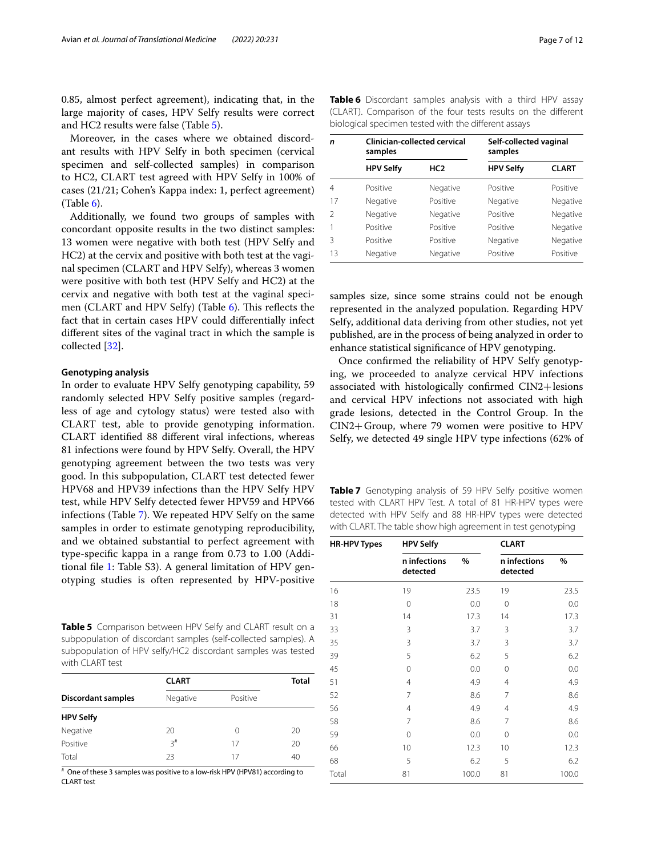0.85, almost perfect agreement), indicating that, in the large majority of cases, HPV Selfy results were correct and HC2 results were false (Table [5](#page-6-0)).

Moreover, in the cases where we obtained discordant results with HPV Selfy in both specimen (cervical specimen and self-collected samples) in comparison to HC2, CLART test agreed with HPV Selfy in 100% of cases (21/21; Cohen's Kappa index: 1, perfect agreement)  $(Table 6)$  $(Table 6)$  $(Table 6)$ .

Additionally, we found two groups of samples with concordant opposite results in the two distinct samples: 13 women were negative with both test (HPV Selfy and HC2) at the cervix and positive with both test at the vaginal specimen (CLART and HPV Selfy), whereas 3 women were positive with both test (HPV Selfy and HC2) at the cervix and negative with both test at the vaginal specimen (CLART and HPV Selfy) (Table  $6$ ). This reflects the fact that in certain cases HPV could diferentially infect diferent sites of the vaginal tract in which the sample is collected [[32\]](#page-10-26).

#### **Genotyping analysis**

In order to evaluate HPV Selfy genotyping capability, 59 randomly selected HPV Selfy positive samples (regardless of age and cytology status) were tested also with CLART test, able to provide genotyping information. CLART identifed 88 diferent viral infections, whereas 81 infections were found by HPV Selfy. Overall, the HPV genotyping agreement between the two tests was very good. In this subpopulation, CLART test detected fewer HPV68 and HPV39 infections than the HPV Selfy HPV test, while HPV Selfy detected fewer HPV59 and HPV66 infections (Table [7\)](#page-6-2). We repeated HPV Selfy on the same samples in order to estimate genotyping reproducibility, and we obtained substantial to perfect agreement with type-specifc kappa in a range from 0.73 to 1.00 (Additional fle [1](#page-9-0): Table S3). A general limitation of HPV genotyping studies is often represented by HPV-positive

<span id="page-6-0"></span>**Table 5** Comparison between HPV Selfy and CLART result on a subpopulation of discordant samples (self-collected samples). A subpopulation of HPV selfy/HC2 discordant samples was tested with CLART test

|                           | <b>CLART</b> | <b>Total</b> |    |
|---------------------------|--------------|--------------|----|
| <b>Discordant samples</b> | Negative     | Positive     |    |
| <b>HPV Selfy</b>          |              |              |    |
| Negative                  | 20           | 0            | 20 |
| Positive                  | $3^{\#}$     | 17           | 20 |
| Total                     | 23           | 17           | 40 |

# One of these 3 samples was positive to a low-risk HPV (HPV81) according to CLART test

| profogredi specificit tested with the amerent assays |                  |                                     |                                   |              |  |  |  |  |  |
|------------------------------------------------------|------------------|-------------------------------------|-----------------------------------|--------------|--|--|--|--|--|
| n                                                    | samples          | <b>Clinician-collected cervical</b> | Self-collected vaginal<br>samples |              |  |  |  |  |  |
|                                                      | <b>HPV Selfy</b> | HC <sub>2</sub>                     | <b>HPV Selfy</b>                  | <b>CLART</b> |  |  |  |  |  |
| 4                                                    | Positive         | Negative                            | Positive                          | Positive     |  |  |  |  |  |
| 17                                                   | Negative         | Positive                            | Negative                          | Negative     |  |  |  |  |  |
| $\mathfrak{D}$                                       | Negative         | Negative                            | Positive                          | Negative     |  |  |  |  |  |

1 Positive Positive Positive Negative 3 Positive Positive Negative Negative 13 Negative Negative Positive Positive

<span id="page-6-1"></span>**Table 6** Discordant samples analysis with a third HPV assay (CLART). Comparison of the four tests results on the diferent biological specimen tested with the diferent assays

samples size, since some strains could not be enough represented in the analyzed population. Regarding HPV Selfy, additional data deriving from other studies, not yet published, are in the process of being analyzed in order to enhance statistical signifcance of HPV genotyping.

Once confrmed the reliability of HPV Selfy genotyping, we proceeded to analyze cervical HPV infections associated with histologically confrmed CIN2+lesions and cervical HPV infections not associated with high grade lesions, detected in the Control Group. In the CIN2+Group, where 79 women were positive to HPV Selfy, we detected 49 single HPV type infections (62% of

<span id="page-6-2"></span>**Table 7** Genotyping analysis of 59 HPV Selfy positive women tested with CLART HPV Test. A total of 81 HR-HPV types were detected with HPV Selfy and 88 HR-HPV types were detected with CLART. The table show high agreement in test genotyping

| <b>HR-HPV Types</b> | <b>HPV Selfy</b>         |       | <b>CLART</b>             |       |  |
|---------------------|--------------------------|-------|--------------------------|-------|--|
|                     | n infections<br>detected | %     | n infections<br>detected | %     |  |
| 16                  | 19                       | 23.5  | 19                       | 23.5  |  |
| 18                  | 0                        | 0.0   | 0                        | 0.0   |  |
| 31                  | 14                       | 17.3  | 14                       | 17.3  |  |
| 33                  | 3                        | 3.7   | 3                        | 3.7   |  |
| 35                  | 3                        | 3.7   | 3                        | 3.7   |  |
| 39                  | 5                        | 6.2   | 5                        | 6.2   |  |
| 45                  | 0                        | 0.0   | $\Omega$                 | 0.0   |  |
| 51                  | 4                        | 4.9   | 4                        | 4.9   |  |
| 52                  | 7                        | 8.6   | 7                        | 8.6   |  |
| 56                  | 4                        | 4.9   | 4                        | 4.9   |  |
| 58                  | 7                        | 8.6   | 7                        | 8.6   |  |
| 59                  | 0                        | 0.0   | 0                        | 0.0   |  |
| 66                  | 10                       | 12.3  | 10                       | 12.3  |  |
| 68                  | 5                        | 6.2   | 5                        | 6.2   |  |
| Total               | 81                       | 100.0 | 81                       | 100.0 |  |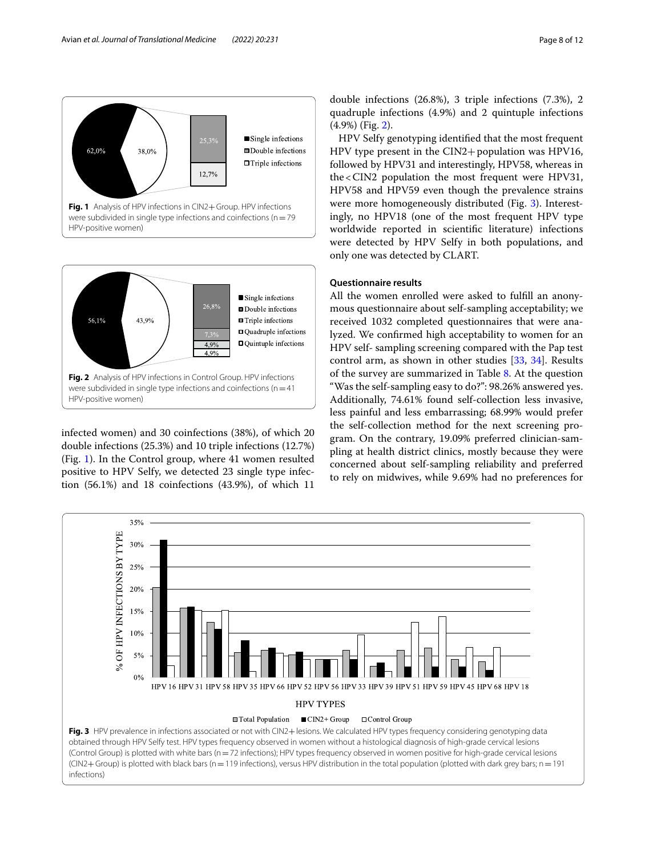

<span id="page-7-0"></span>

<span id="page-7-1"></span>infected women) and 30 coinfections (38%), of which 20 double infections (25.3%) and 10 triple infections (12.7%) (Fig. [1\)](#page-7-0). In the Control group, where 41 women resulted positive to HPV Selfy, we detected 23 single type infection (56.1%) and 18 coinfections (43.9%), of which 11 double infections (26.8%), 3 triple infections (7.3%), 2 quadruple infections (4.9%) and 2 quintuple infections (4.9%) (Fig. [2\)](#page-7-1).

HPV Selfy genotyping identifed that the most frequent HPV type present in the CIN2+population was HPV16, followed by HPV31 and interestingly, HPV58, whereas in the<CIN2 population the most frequent were HPV31, HPV58 and HPV59 even though the prevalence strains were more homogeneously distributed (Fig. [3\)](#page-7-2). Interestingly, no HPV18 (one of the most frequent HPV type worldwide reported in scientifc literature) infections were detected by HPV Selfy in both populations, and only one was detected by CLART.

## **Questionnaire results**

All the women enrolled were asked to fulfll an anonymous questionnaire about self-sampling acceptability; we received 1032 completed questionnaires that were analyzed. We confrmed high acceptability to women for an HPV self- sampling screening compared with the Pap test control arm, as shown in other studies [[33,](#page-10-27) [34](#page-10-28)]. Results of the survey are summarized in Table [8](#page-8-0). At the question "Was the self-sampling easy to do?": 98.26% answered yes. Additionally, 74.61% found self-collection less invasive, less painful and less embarrassing; 68.99% would prefer the self-collection method for the next screening program. On the contrary, 19.09% preferred clinician-sampling at health district clinics, mostly because they were concerned about self-sampling reliability and preferred to rely on midwives, while 9.69% had no preferences for

<span id="page-7-2"></span>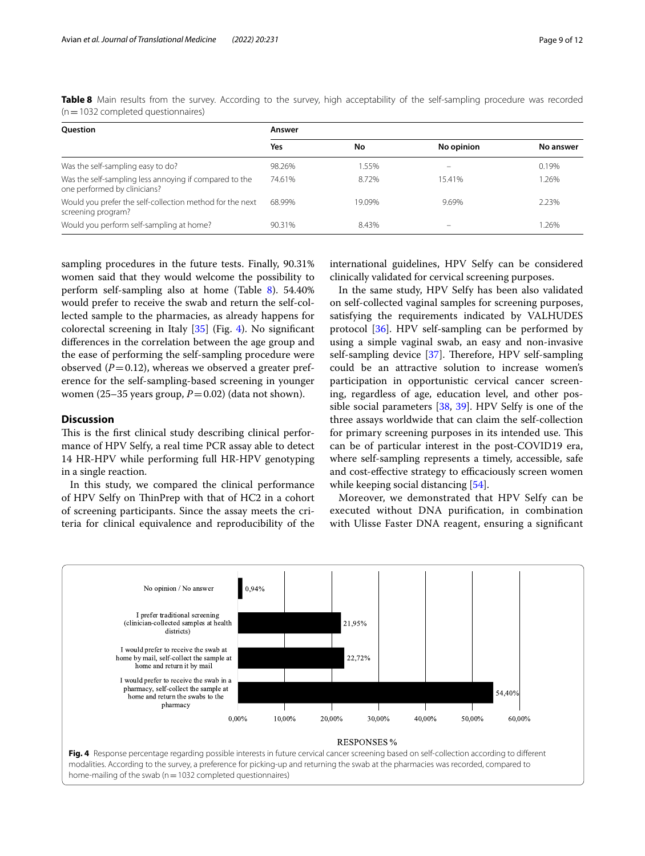<span id="page-8-0"></span>

|                                     |  |  |  |  |  | Table 8 Main results from the survey. According to the survey, high acceptability of the self-sampling procedure was recorded |  |  |
|-------------------------------------|--|--|--|--|--|-------------------------------------------------------------------------------------------------------------------------------|--|--|
| (n = 1032 completed questionnaires) |  |  |  |  |  |                                                                                                                               |  |  |

| <b>Ouestion</b>                                                                        | Answer |        |            |           |  |  |  |  |  |
|----------------------------------------------------------------------------------------|--------|--------|------------|-----------|--|--|--|--|--|
|                                                                                        | Yes    | No     | No opinion | No answer |  |  |  |  |  |
| Was the self-sampling easy to do?                                                      | 98.26% | 1.55%  |            | 0.19%     |  |  |  |  |  |
| Was the self-sampling less annoying if compared to the<br>one performed by clinicians? | 74.61% | 8.72%  | 15.41%     | 1.26%     |  |  |  |  |  |
| Would you prefer the self-collection method for the next<br>screening program?         | 68.99% | 19.09% | 9.69%      | 2.23%     |  |  |  |  |  |
| Would you perform self-sampling at home?                                               | 90.31% | 8.43%  |            | .26%      |  |  |  |  |  |

sampling procedures in the future tests. Finally, 90.31% women said that they would welcome the possibility to perform self-sampling also at home (Table [8\)](#page-8-0). 54.40% would prefer to receive the swab and return the self-collected sample to the pharmacies, as already happens for colorectal screening in Italy [[35\]](#page-10-29) (Fig. [4\)](#page-8-1). No signifcant diferences in the correlation between the age group and the ease of performing the self-sampling procedure were observed  $(P=0.12)$ , whereas we observed a greater preference for the self-sampling-based screening in younger women (25–35 years group,  $P=0.02$ ) (data not shown).

## **Discussion**

This is the first clinical study describing clinical performance of HPV Selfy, a real time PCR assay able to detect 14 HR-HPV while performing full HR-HPV genotyping in a single reaction.

In this study, we compared the clinical performance of HPV Selfy on ThinPrep with that of HC2 in a cohort of screening participants. Since the assay meets the criteria for clinical equivalence and reproducibility of the international guidelines, HPV Selfy can be considered clinically validated for cervical screening purposes.

In the same study, HPV Selfy has been also validated on self-collected vaginal samples for screening purposes, satisfying the requirements indicated by VALHUDES protocol [[36](#page-10-30)]. HPV self-sampling can be performed by using a simple vaginal swab, an easy and non-invasive self-sampling device [[37\]](#page-10-31). Therefore, HPV self-sampling could be an attractive solution to increase women's participation in opportunistic cervical cancer screening, regardless of age, education level, and other possible social parameters [[38](#page-11-0), [39\]](#page-11-1). HPV Selfy is one of the three assays worldwide that can claim the self-collection for primary screening purposes in its intended use. This can be of particular interest in the post-COVID19 era, where self-sampling represents a timely, accessible, safe and cost-effective strategy to efficaciously screen women while keeping social distancing [[54\]](#page-11-2).

Moreover, we demonstrated that HPV Selfy can be executed without DNA purifcation, in combination with Ulisse Faster DNA reagent, ensuring a signifcant

<span id="page-8-1"></span>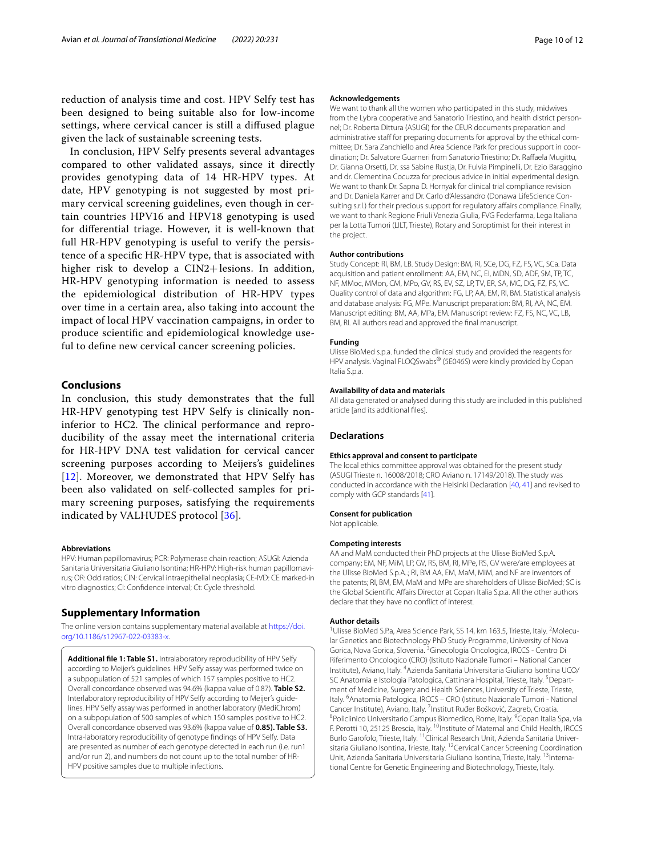reduction of analysis time and cost. HPV Selfy test has been designed to being suitable also for low-income settings, where cervical cancer is still a difused plague given the lack of sustainable screening tests.

In conclusion, HPV Selfy presents several advantages compared to other validated assays, since it directly provides genotyping data of 14 HR-HPV types. At date, HPV genotyping is not suggested by most primary cervical screening guidelines, even though in certain countries HPV16 and HPV18 genotyping is used for diferential triage. However, it is well-known that full HR-HPV genotyping is useful to verify the persistence of a specifc HR-HPV type, that is associated with higher risk to develop a CIN2+lesions. In addition, HR-HPV genotyping information is needed to assess the epidemiological distribution of HR-HPV types over time in a certain area, also taking into account the impact of local HPV vaccination campaigns, in order to produce scientifc and epidemiological knowledge useful to defne new cervical cancer screening policies.

## **Conclusions**

In conclusion, this study demonstrates that the full HR-HPV genotyping test HPV Selfy is clinically noninferior to HC2. The clinical performance and reproducibility of the assay meet the international criteria for HR-HPV DNA test validation for cervical cancer screening purposes according to Meijers's guidelines [[12](#page-10-11)]. Moreover, we demonstrated that HPV Selfy has been also validated on self-collected samples for primary screening purposes, satisfying the requirements indicated by VALHUDES protocol [[36](#page-10-30)].

#### **Abbreviations**

HPV: Human papillomavirus; PCR: Polymerase chain reaction; ASUGI: Azienda Sanitaria Universitaria Giuliano Isontina; HR-HPV: High-risk human papillomavirus; OR: Odd ratios; CIN: Cervical intraepithelial neoplasia; CE-IVD: CE marked-in vitro diagnostics; CI: Confdence interval; Ct: Cycle threshold.

## **Supplementary Information**

The online version contains supplementary material available at [https://doi.](https://doi.org/10.1186/s12967-022-03383-x) [org/10.1186/s12967-022-03383-x.](https://doi.org/10.1186/s12967-022-03383-x)

<span id="page-9-0"></span>**Additional fle 1: Table S1.** Intralaboratory reproducibility of HPV Selfy according to Meijer's guidelines. HPV Selfy assay was performed twice on a subpopulation of 521 samples of which 157 samples positive to HC2. Overall concordance observed was 94.6% (kappa value of 0.87). **Table S2.** Interlaboratory reproducibility of HPV Selfy according to Meijer's guidelines. HPV Selfy assay was performed in another laboratory (MediChrom) on a subpopulation of 500 samples of which 150 samples positive to HC2. Overall concordance observed was 93.6% (kappa value of **0.85). Table S3.** Intra-laboratory reproducibility of genotype fndings of HPV Selfy. Data are presented as number of each genotype detected in each run (i.e. run1 and/or run 2), and numbers do not count up to the total number of HR-HPV positive samples due to multiple infections.

#### **Acknowledgements**

We want to thank all the women who participated in this study, midwives from the Lybra cooperative and Sanatorio Triestino, and health district personnel; Dr. Roberta Dittura (ASUGI) for the CEUR documents preparation and administrative staff for preparing documents for approval by the ethical committee; Dr. Sara Zanchiello and Area Science Park for precious support in coordination; Dr. Salvatore Guarneri from Sanatorio Triestino; Dr. Rafaela Mugittu, Dr. Gianna Orsetti, Dr. ssa Sabine Rustja, Dr. Fulvia Pimpinelli, Dr. Ezio Baraggino and dr. Clementina Cocuzza for precious advice in initial experimental design. We want to thank Dr. Sapna D. Hornyak for clinical trial compliance revision and Dr. Daniela Karrer and Dr. Carlo d'Alessandro (Donawa LifeScience Consulting s.r.l.) for their precious support for regulatory affairs compliance. Finally, we want to thank Regione Friuli Venezia Giulia, FVG Federfarma, Lega Italiana per la Lotta Tumori (LILT, Trieste), Rotary and Soroptimist for their interest in the project.

#### **Author contributions**

Study Concept: RI, BM, LB. Study Design: BM, RI, SCe, DG, FZ, FS, VC, SCa. Data acquisition and patient enrollment: AA, EM, NC, EI, MDN, SD, ADF, SM, TP, TC, NF, MMoc, MMon, CM, MPo, GV, RS, EV, SZ, LP, TV, ER, SA, MC, DG, FZ, FS, VC. Quality control of data and algorithm: FG, LP, AA, EM, RI, BM. Statistical analysis and database analysis: FG, MPe. Manuscript preparation: BM, RI, AA, NC, EM. Manuscript editing: BM, AA, MPa, EM. Manuscript review: FZ, FS, NC, VC, LB, BM, RI. All authors read and approved the fnal manuscript.

#### **Funding**

Ulisse BioMed s.p.a. funded the clinical study and provided the reagents for HPV analysis. Vaginal FLOQSwabs® (5E046S) were kindly provided by Copan Italia S.p.a.

#### **Availability of data and materials**

All data generated or analysed during this study are included in this published article [and its additional fles].

#### **Declarations**

### **Ethics approval and consent to participate**

The local ethics committee approval was obtained for the present study (ASUGI Trieste n. 16008/2018; CRO Aviano n. 17149/2018). The study was conducted in accordance with the Helsinki Declaration [\[40,](#page-11-3) [41\]](#page-11-4) and revised to comply with GCP standards [[41](#page-11-4)].

#### **Consent for publication**

Not applicable.

#### **Competing interests**

AA and MaM conducted their PhD projects at the Ulisse BioMed S.p.A. company; EM, NF, MiM, LP, GV, RS, BM, RI, MPe, RS, GV were/are employees at the Ulisse BioMed S.p.A..; RI, BM AA, EM, MaM, MiM, and NF are inventors of the patents; RI, BM, EM, MaM and MPe are shareholders of Ulisse BioMed; SC is the Global Scientifc Afairs Director at Copan Italia S.p.a. All the other authors declare that they have no confict of interest.

#### **Author details**

<sup>1</sup>Ulisse BioMed S.P.a, Area Science Park, SS 14, km 163.5, Trieste, Italy. <sup>2</sup>Molecular Genetics and Biotechnology PhD Study Programme, University of Nova Gorica, Nova Gorica, Slovenia. <sup>3</sup> Ginecologia Oncologica, IRCCS - Centro Di Riferimento Oncologico (CRO) (Istituto Nazionale Tumori – National Cancer Institute), Aviano, Italy. 4 Azienda Sanitaria Universitaria Giuliano Isontina UCO/ SC Anatomia e Istologia Patologica, Cattinara Hospital, Trieste, Italy. <sup>5</sup>Department of Medicine, Surgery and Health Sciences, University of Trieste, Trieste, Italy. <sup>6</sup> Anatomia Patologica, IRCCS - CRO (Istituto Nazionale Tumori - National Cancer Institute), Aviano, Italy. <sup>7</sup>Institut Ruđer Bošković, Zagreb, Croatia.<br><sup>8</sup>Policlinica Universitatio Campus Biomodica Rama Italy. <sup>9</sup>Capan Italia. Policlinico Universitario Campus Biomedico, Rome, Italy. <sup>9</sup> Copan Italia Spa, via F. Perotti 10, 25125 Brescia, Italy. <sup>10</sup>Institute of Maternal and Child Health, IRCCS Burlo Garofolo, Trieste, Italy. 11Clinical Research Unit, Azienda Sanitaria Universitaria Giuliano Isontina, Trieste, Italy. <sup>12</sup>Cervical Cancer Screening Coordination Unit, Azienda Sanitaria Universitaria Giuliano Isontina, Trieste, Italy. 13International Centre for Genetic Engineering and Biotechnology, Trieste, Italy.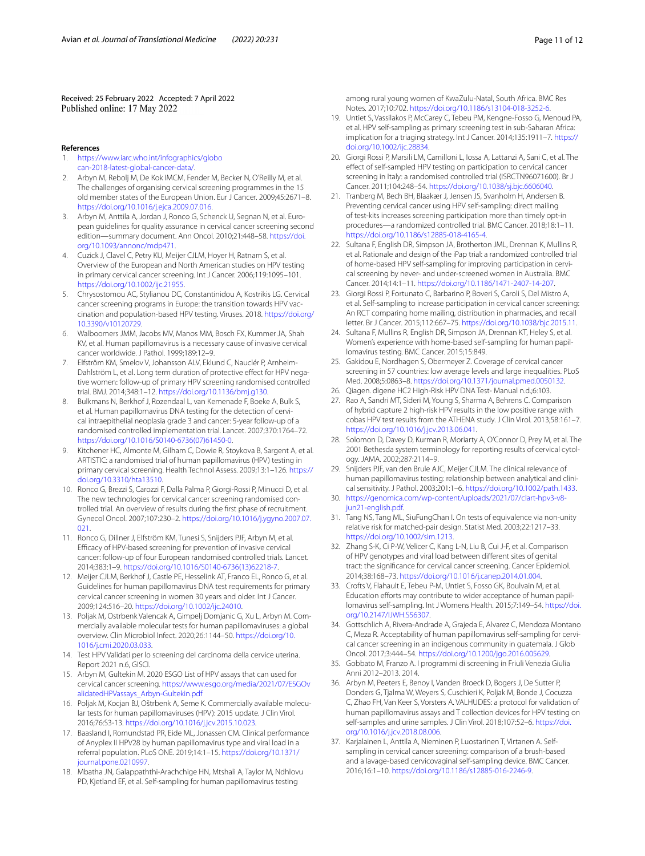Received: 25 February 2022 Accepted: 7 April 2022

#### **References**

- <span id="page-10-0"></span>1. [https://www.iarc.who.int/infographics/globo](https://www.iarc.who.int/infographics/globocan-2018-latest-global-cancer-data/) [can-2018-latest-global-cancer-data/](https://www.iarc.who.int/infographics/globocan-2018-latest-global-cancer-data/).
- <span id="page-10-1"></span>2. Arbyn M, Rebolj M, De Kok IMCM, Fender M, Becker N, O'Reilly M, et al. The challenges of organising cervical screening programmes in the 15 old member states of the European Union. Eur J Cancer. 2009;45:2671–8. <https://doi.org/10.1016/j.ejca.2009.07.016>.
- <span id="page-10-2"></span>3. Arbyn M, Anttila A, Jordan J, Ronco G, Schenck U, Segnan N, et al. European guidelines for quality assurance in cervical cancer screening second edition—summary document. Ann Oncol. 2010;21:448–58. [https://doi.](https://doi.org/10.1093/annonc/mdp471) [org/10.1093/annonc/mdp471](https://doi.org/10.1093/annonc/mdp471).
- <span id="page-10-3"></span>4. Cuzick J, Clavel C, Petry KU, Meijer CJLM, Hoyer H, Ratnam S, et al. Overview of the European and North American studies on HPV testing in primary cervical cancer screening. Int J Cancer. 2006;119:1095–101. [https://doi.org/10.1002/ijc.21955.](https://doi.org/10.1002/ijc.21955)
- <span id="page-10-4"></span>5. Chrysostomou AC, Stylianou DC, Constantinidou A, Kostrikis LG. Cervical cancer screening programs in Europe: the transition towards HPV vaccination and population-based HPV testing. Viruses. 2018. [https://doi.org/](https://doi.org/10.3390/v10120729) [10.3390/v10120729](https://doi.org/10.3390/v10120729).
- <span id="page-10-5"></span>6. Walboomers JMM, Jacobs MV, Manos MM, Bosch FX, Kummer JA, Shah KV, et al. Human papillomavirus is a necessary cause of invasive cervical cancer worldwide. J Pathol. 1999;189:12–9.
- <span id="page-10-6"></span>7. Elfström KM, Smelov V, Johansson ALV, Eklund C, Nauclér P, Arnheim-Dahlström L, et al. Long term duration of protective effect for HPV negative women: follow-up of primary HPV screening randomised controlled trial. BMJ. 2014;348:1–12. [https://doi.org/10.1136/bmj.g130.](https://doi.org/10.1136/bmj.g130)
- <span id="page-10-7"></span>8. Bulkmans N, Berkhof J, Rozendaal L, van Kemenade F, Boeke A, Bulk S, et al. Human papillomavirus DNA testing for the detection of cervical intraepithelial neoplasia grade 3 and cancer: 5-year follow-up of a randomised controlled implementation trial. Lancet. 2007;370:1764–72. [https://doi.org/10.1016/S0140-6736\(07\)61450-0](https://doi.org/10.1016/S0140-6736(07)61450-0).
- <span id="page-10-8"></span>9. Kitchener HC, Almonte M, Gilham C, Dowie R, Stoykova B, Sargent A, et al. ARTISTIC: a randomised trial of human papillomavirus (HPV) testing in primary cervical screening. Health Technol Assess. 2009;13:1–126. [https://](https://doi.org/10.3310/hta13510) [doi.org/10.3310/hta13510](https://doi.org/10.3310/hta13510).
- <span id="page-10-9"></span>10. Ronco G, Brezzi S, Carozzi F, Dalla Palma P, Giorgi-Rossi P, Minucci D, et al. The new technologies for cervical cancer screening randomised controlled trial. An overview of results during the frst phase of recruitment. Gynecol Oncol. 2007;107:230–2. [https://doi.org/10.1016/j.ygyno.2007.07.](https://doi.org/10.1016/j.ygyno.2007.07.021) [021.](https://doi.org/10.1016/j.ygyno.2007.07.021)
- <span id="page-10-10"></span>11. Ronco G, Dillner J, Elfström KM, Tunesi S, Snijders PJF, Arbyn M, et al. Efcacy of HPV-based screening for prevention of invasive cervical cancer: follow-up of four European randomised controlled trials. Lancet. 2014;383:1–9. [https://doi.org/10.1016/S0140-6736\(13\)62218-7](https://doi.org/10.1016/S0140-6736(13)62218-7).
- <span id="page-10-11"></span>12. Meijer CJLM, Berkhof J, Castle PE, Hesselink AT, Franco EL, Ronco G, et al. Guidelines for human papillomavirus DNA test requirements for primary cervical cancer screening in women 30 years and older. Int J Cancer. 2009;124:516–20. [https://doi.org/10.1002/ijc.24010.](https://doi.org/10.1002/ijc.24010)
- <span id="page-10-12"></span>13. Poljak M, Ostrbenk Valencak A, Gimpelj Domjanic G, Xu L, Arbyn M. Commercially available molecular tests for human papillomaviruses: a global overview. Clin Microbiol Infect. 2020;26:1144–50. [https://doi.org/10.](https://doi.org/10.1016/j.cmi.2020.03.033) [1016/j.cmi.2020.03.033.](https://doi.org/10.1016/j.cmi.2020.03.033)
- <span id="page-10-13"></span>14. Test HPV Validati per lo screening del carcinoma della cervice uterina. Report 2021 n.6, GISCI.
- <span id="page-10-14"></span>15. Arbyn M, Gultekin M. 2020 ESGO List of HPV assays that can used for cervical cancer screening. [https://www.esgo.org/media/2021/07/ESGOv](https://www.esgo.org/media/2021/07/ESGOvalidatedHPVassays_Arbyn-Gultekin.pdf) [alidatedHPVassays\\_Arbyn-Gultekin.pdf](https://www.esgo.org/media/2021/07/ESGOvalidatedHPVassays_Arbyn-Gultekin.pdf)
- <span id="page-10-15"></span>16. Poljak M, Kocjan BJ, Oštrbenk A, Seme K. Commercially available molecular tests for human papillomaviruses (HPV): 2015 update. J Clin Virol. 2016;76:S3-13. [https://doi.org/10.1016/j.jcv.2015.10.023.](https://doi.org/10.1016/j.jcv.2015.10.023)
- <span id="page-10-16"></span>17. Baasland I, Romundstad PR, Eide ML, Jonassen CM. Clinical performance of Anyplex II HPV28 by human papillomavirus type and viral load in a referral population. PLoS ONE. 2019;14:1–15. [https://doi.org/10.1371/](https://doi.org/10.1371/journal.pone.0210997) [journal.pone.0210997](https://doi.org/10.1371/journal.pone.0210997).
- <span id="page-10-17"></span>18. Mbatha JN, Galappaththi-Arachchige HN, Mtshali A, Taylor M, Ndhlovu PD, Kjetland EF, et al. Self-sampling for human papillomavirus testing

among rural young women of KwaZulu-Natal, South Africa. BMC Res Notes. 2017;10:702. <https://doi.org/10.1186/s13104-018-3252-6>.

- 19. Untiet S, Vassilakos P, McCarey C, Tebeu PM, Kengne-Fosso G, Menoud PA, et al. HPV self-sampling as primary screening test in sub-Saharan Africa: implication for a triaging strategy. Int J Cancer. 2014;135:1911–7. [https://](https://doi.org/10.1002/ijc.28834) [doi.org/10.1002/ijc.28834](https://doi.org/10.1002/ijc.28834).
- 20. Giorgi Rossi P, Marsili LM, Camilloni L, Iossa A, Lattanzi A, Sani C, et al. The efect of self-sampled HPV testing on participation to cervical cancer screening in Italy: a randomised controlled trial (ISRCTN96071600). Br J Cancer. 2011;104:248–54. [https://doi.org/10.1038/sj.bjc.6606040.](https://doi.org/10.1038/sj.bjc.6606040)
- 21. Tranberg M, Bech BH, Blaakær J, Jensen JS, Svanholm H, Andersen B. Preventing cervical cancer using HPV self-sampling: direct mailing of test-kits increases screening participation more than timely opt-in procedures—a randomized controlled trial. BMC Cancer. 2018;18:1–11. [https://doi.org/10.1186/s12885-018-4165-4.](https://doi.org/10.1186/s12885-018-4165-4)
- 22. Sultana F, English DR, Simpson JA, Brotherton JML, Drennan K, Mullins R, et al. Rationale and design of the iPap trial: a randomized controlled trial of home-based HPV self-sampling for improving participation in cervical screening by never- and under-screened women in Australia. BMC Cancer. 2014;14:1–11. [https://doi.org/10.1186/1471-2407-14-207.](https://doi.org/10.1186/1471-2407-14-207)
- 23. Giorgi Rossi P, Fortunato C, Barbarino P, Boveri S, Caroli S, Del Mistro A, et al. Self-sampling to increase participation in cervical cancer screening: An RCT comparing home mailing, distribution in pharmacies, and recall letter. Br J Cancer. 2015;112:667–75. <https://doi.org/10.1038/bjc.2015.11>.
- <span id="page-10-18"></span>24. Sultana F, Mullins R, English DR, Simpson JA, Drennan KT, Heley S, et al. Women's experience with home-based self-sampling for human papillomavirus testing. BMC Cancer. 2015;15:849.
- <span id="page-10-19"></span>25. Gakidou E, Nordhagen S, Obermeyer Z. Coverage of cervical cancer screening in 57 countries: low average levels and large inequalities. PLoS Med. 2008;5:0863–8. [https://doi.org/10.1371/journal.pmed.0050132.](https://doi.org/10.1371/journal.pmed.0050132)
- <span id="page-10-20"></span>26. Qiagen. digene HC2 High-Risk HPV DNA Test- Manual n.d.;6:103.
- <span id="page-10-21"></span>27. Rao A, Sandri MT, Sideri M, Young S, Sharma A, Behrens C. Comparison of hybrid capture 2 high-risk HPV results in the low positive range with cobas HPV test results from the ATHENA study. J Clin Virol. 2013;58:161–7. <https://doi.org/10.1016/j.jcv.2013.06.041>.
- <span id="page-10-22"></span>28. Solomon D, Davey D, Kurman R, Moriarty A, O'Connor D, Prey M, et al. The 2001 Bethesda system terminology for reporting results of cervical cytology. JAMA. 2002;287:2114–9.
- <span id="page-10-23"></span>29. Snijders PJF, van den Brule AJC, Meijer CJLM. The clinical relevance of human papillomavirus testing: relationship between analytical and clinical sensitivity. J Pathol. 2003;201:1–6. [https://doi.org/10.1002/path.1433.](https://doi.org/10.1002/path.1433)
- <span id="page-10-24"></span>30. [https://genomica.com/wp-content/uploads/2021/07/clart-hpv3-v8](https://genomica.com/wp-content/uploads/2021/07/clart-hpv3-v8-jun21-english.pdf) [jun21-english.pdf](https://genomica.com/wp-content/uploads/2021/07/clart-hpv3-v8-jun21-english.pdf)
- <span id="page-10-25"></span>31. Tang NS, Tang ML, SiuFungChan I. On tests of equivalence via non-unity relative risk for matched-pair design. Statist Med. 2003;22:1217–33. <https://doi.org/10.1002/sim.1213>.
- <span id="page-10-26"></span>32. Zhang S-K, Ci P-W, Velicer C, Kang L-N, Liu B, Cui J-F, et al. Comparison of HPV genotypes and viral load between diferent sites of genital tract: the signifcance for cervical cancer screening. Cancer Epidemiol. 2014;38:168–73.<https://doi.org/10.1016/j.canep.2014.01.004>.
- <span id="page-10-27"></span>33. Crofts V, Flahault E, Tebeu P-M, Untiet S, Fosso GK, Boulvain M, et al. Education efforts may contribute to wider acceptance of human papillomavirus self-sampling. Int J Womens Health. 2015;7:149–54. [https://doi.](https://doi.org/10.2147/IJWH.S56307) [org/10.2147/IJWH.S56307.](https://doi.org/10.2147/IJWH.S56307)
- <span id="page-10-28"></span>34. Gottschlich A, Rivera-Andrade A, Grajeda E, Alvarez C, Mendoza Montano C, Meza R. Acceptability of human papillomavirus self-sampling for cervical cancer screening in an indigenous community in guatemala. J Glob Oncol. 2017;3:444–54.<https://doi.org/10.1200/jgo.2016.005629>.
- <span id="page-10-29"></span>35. Gobbato M, Franzo A. I programmi di screening in Friuli Venezia Giulia Anni 2012–2013. 2014.
- <span id="page-10-30"></span>36. Arbyn M, Peeters E, Benoy I, Vanden Broeck D, Bogers J, De Sutter P, Donders G, Tjalma W, Weyers S, Cuschieri K, Poljak M, Bonde J, Cocuzza C, Zhao FH, Van Keer S, Vorsters A. VALHUDES: a protocol for validation of human papillomavirus assays and T collection devices for HPV testing on self-samples and urine samples. J Clin Virol. 2018;107:52–6. [https://doi.](https://doi.org/10.1016/j.jcv.2018.08.006) [org/10.1016/j.jcv.2018.08.006](https://doi.org/10.1016/j.jcv.2018.08.006).
- <span id="page-10-31"></span>37. Karjalainen L, Anttila A, Nieminen P, Luostarinen T, Virtanen A. Selfsampling in cervical cancer screening: comparison of a brush-based and a lavage-based cervicovaginal self-sampling device. BMC Cancer. 2016;16:1–10. [https://doi.org/10.1186/s12885-016-2246-9.](https://doi.org/10.1186/s12885-016-2246-9)